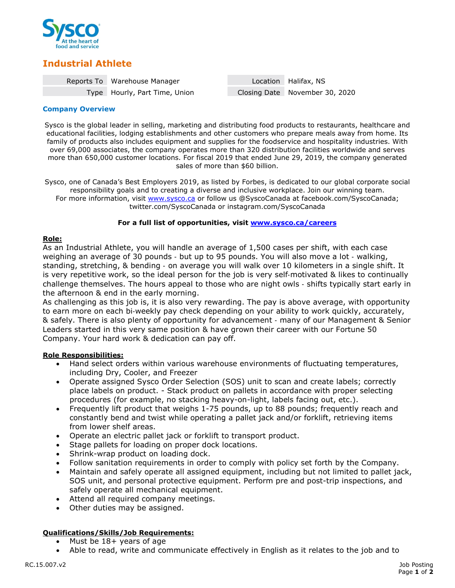

# **Industrial Athlete**

| Reports To Warehouse Manager  | Location Halifax, NS           |
|-------------------------------|--------------------------------|
| Type Hourly, Part Time, Union | Closing Date November 30, 2020 |

#### **Company Overview**

Sysco is the global leader in selling, marketing and distributing food products to restaurants, healthcare and educational facilities, lodging establishments and other customers who prepare meals away from home. Its family of products also includes equipment and supplies for the foodservice and hospitality industries. With over 69,000 associates, the company operates more than 320 distribution facilities worldwide and serves more than 650,000 customer locations. For fiscal 2019 that ended June 29, 2019, the company generated sales of more than \$60 billion.

Sysco, one of Canada's Best Employers 2019, as listed by Forbes, is dedicated to our global corporate social responsibility goals and to creating a diverse and inclusive workplace. Join our winning team. For more information, visit [www.sysco.ca](http://www.sysco.ca/) or follow us @SyscoCanada at facebook.com/SyscoCanada; twitter.com/SyscoCanada or instagram.com/SyscoCanada

## **For a full list of opportunities, visit [www.sysco.ca/careers](http://www.sysco.ca/careers)**

## **Role:**

As an Industrial Athlete, you will handle an average of 1,500 cases per shift, with each case weighing an average of 30 pounds ‐ but up to 95 pounds. You will also move a lot ‐ walking, standing, stretching, & bending ‐ on average you will walk over 10 kilometers in a single shift. It is very repetitive work, so the ideal person for the job is very self-motivated & likes to continually challenge themselves. The hours appeal to those who are night owls ‐ shifts typically start early in the afternoon & end in the early morning.

As challenging as this job is, it is also very rewarding. The pay is above average, with opportunity to earn more on each bi‐weekly pay check depending on your ability to work quickly, accurately, & safely. There is also plenty of opportunity for advancement ‐ many of our Management & Senior Leaders started in this very same position & have grown their career with our Fortune 50 Company. Your hard work & dedication can pay off.

# **Role Responsibilities:**

- Hand select orders within various warehouse environments of fluctuating temperatures, including Dry, Cooler, and Freezer
- Operate assigned Sysco Order Selection (SOS) unit to scan and create labels; correctly place labels on product. - Stack product on pallets in accordance with proper selecting procedures (for example, no stacking heavy-on-light, labels facing out, etc.).
- Frequently lift product that weighs 1-75 pounds, up to 88 pounds; frequently reach and constantly bend and twist while operating a pallet jack and/or forklift, retrieving items from lower shelf areas.
- Operate an electric pallet jack or forklift to transport product.
- Stage pallets for loading on proper dock locations.
- Shrink-wrap product on loading dock.
- Follow sanitation requirements in order to comply with policy set forth by the Company.
- Maintain and safely operate all assigned equipment, including but not limited to pallet jack, SOS unit, and personal protective equipment. Perform pre and post-trip inspections, and safely operate all mechanical equipment.
- Attend all required company meetings.
- Other duties may be assigned.

# **Qualifications/Skills/Job Requirements:**

- Must be  $18+$  years of age
- Able to read, write and communicate effectively in English as it relates to the job and to